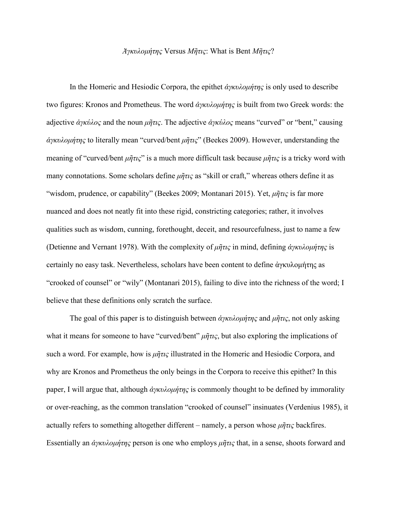## *[Ἀγκυλομήτης](about:blank)* Versus *[Μῆ](about:blank)τις*: What is Bent *[Μῆ](about:blank)τις*?

In the Homeric and Hesiodic Corpora, the epithet *[ἀγκυλομήτης](about:blank)* is only used to describe two figures: Kronos and Prometheus. The word *[ἀγκυλομήτης](about:blank)* is built from two Greek words: the adjective *ἀγκύλος* and the noun *μῆτις*. The adjective *ἀγκύλος* means "curved" or "bent," causing *[ἀγκυλομήτης](about:blank)* to literally mean "curved/bent *μῆτις*" (Beekes 2009). However, understanding the meaning of "curved/bent *μῆτις*" is a much more difficult task because *μῆτις* is a tricky word with many connotations. Some scholars define *μῆτις* as "skill or craft," whereas others define it as "wisdom, prudence, or capability" (Beekes 2009; Montanari 2015). Yet, *μῆτις* is far more nuanced and does not neatly fit into these rigid, constricting categories; rather, it involves qualities such as wisdom, cunning, forethought, deceit, and resourcefulness, just to name a few (Detienne and Vernant 1978). With the complexity of *μῆτις* in mind, defining *[ἀγκυλομήτης](about:blank)* is certainly no easy task. Nevertheless, scholars have been content to define [ἀγκυλομήτης](about:blank) as "crooked of counsel" or "wily" (Montanari 2015), failing to dive into the richness of the word; I believe that these definitions only scratch the surface.

The goal of this paper is to distinguish between *[ἀγκυλομήτης](about:blank)* and *μῆτις*, not only asking what it means for someone to have "curved/bent" *μῆτις*, but also exploring the implications of such a word. For example, how is *μῆτις* illustrated in the Homeric and Hesiodic Corpora, and why are Kronos and Prometheus the only beings in the Corpora to receive this epithet? In this paper, I will argue that, although *[ἀγκυλομήτης](about:blank)* is commonly thought to be defined by immorality or over-reaching, as the common translation "crooked of counsel" insinuates (Verdenius 1985), it actually refers to something altogether different – namely, a person whose *μῆτις* backfires. Essentially an *[ἀγκυλομήτης](about:blank)* person is one who employs *μῆτις* that, in a sense, shoots forward and